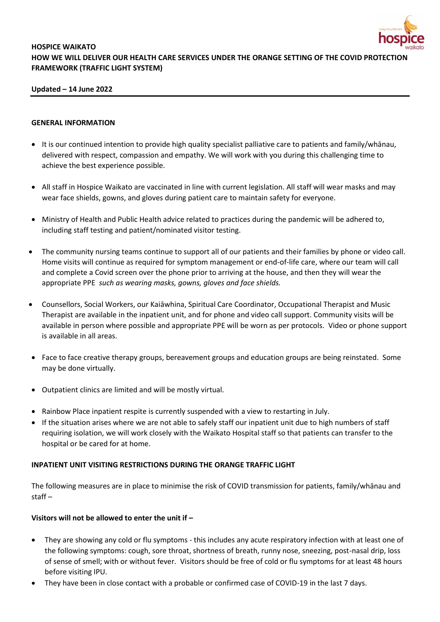

# **HOSPICE WAIKATO HOW WE WILL DELIVER OUR HEALTH CARE SERVICES UNDER THE ORANGE SETTING OF THE COVID PROTECTION FRAMEWORK (TRAFFIC LIGHT SYSTEM)**

## **Updated – 14 June 2022**

#### **GENERAL INFORMATION**

- It is our continued intention to provide high quality specialist palliative care to patients and family/whānau, delivered with respect, compassion and empathy. We will work with you during this challenging time to achieve the best experience possible.
- All staff in Hospice Waikato are vaccinated in line with current legislation. All staff will wear masks and may wear face shields, gowns, and gloves during patient care to maintain safety for everyone.
- Ministry of Health and Public Health advice related to practices during the pandemic will be adhered to, including staff testing and patient/nominated visitor testing.
- The community nursing teams continue to support all of our patients and their families by phone or video call. Home visits will continue as required for symptom management or end-of-life care, where our team will call and complete a Covid screen over the phone prior to arriving at the house, and then they will wear the appropriate PPE *such as wearing masks, gowns, gloves and face shields.*
- Counsellors, Social Workers, our Kaiāwhina, Spiritual Care Coordinator, Occupational Therapist and Music Therapist are available in the inpatient unit, and for phone and video call support. Community visits will be available in person where possible and appropriate PPE will be worn as per protocols. Video or phone support is available in all areas.
- Face to face creative therapy groups, bereavement groups and education groups are being reinstated. Some may be done virtually.
- Outpatient clinics are limited and will be mostly virtual.
- Rainbow Place inpatient respite is currently suspended with a view to restarting in July.
- If the situation arises where we are not able to safely staff our inpatient unit due to high numbers of staff requiring isolation, we will work closely with the Waikato Hospital staff so that patients can transfer to the hospital or be cared for at home.

#### **INPATIENT UNIT VISITING RESTRICTIONS DURING THE ORANGE TRAFFIC LIGHT**

The following measures are in place to minimise the risk of COVID transmission for patients, family/whānau and staff –

# **Visitors will not be allowed to enter the unit if –**

- They are showing any cold or flu symptoms this includes any acute respiratory infection with at least one of the following symptoms: cough, sore throat, shortness of breath, runny nose, sneezing, post-nasal drip, loss of sense of smell; with or without fever. Visitors should be free of cold or flu symptoms for at least 48 hours before visiting IPU.
- They have been in close contact with a probable or confirmed case of COVID-19 in the last 7 days.